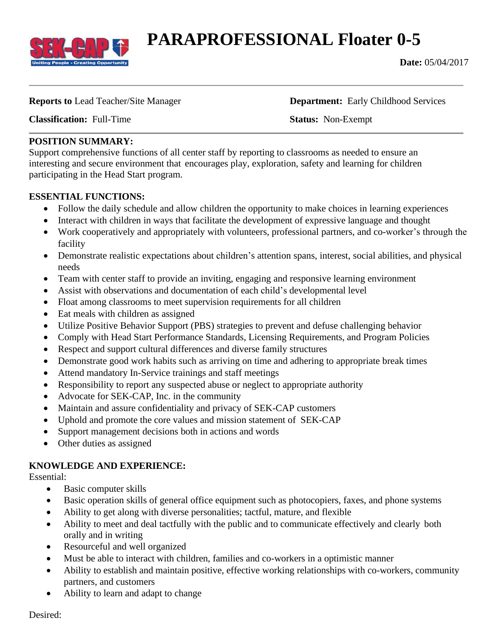

# **PARAPROFESSIONAL Floater 0-5**

**Date:** 05/04/2017

**Reports to** Lead Teacher/Site Manager **Department:** Early Childhood Services

**Classification:** Full-Time **Status:** Non-Exempt

#### **POSITION SUMMARY:**

Support comprehensive functions of all center staff by reporting to classrooms as needed to ensure an interesting and secure environment that encourages play, exploration, safety and learning for children participating in the Head Start program.

### **ESSENTIAL FUNCTIONS:**

- Follow the daily schedule and allow children the opportunity to make choices in learning experiences
- Interact with children in ways that facilitate the development of expressive language and thought
- Work cooperatively and appropriately with volunteers, professional partners, and co-worker's through the facility
- Demonstrate realistic expectations about children's attention spans, interest, social abilities, and physical needs
- Team with center staff to provide an inviting, engaging and responsive learning environment
- Assist with observations and documentation of each child's developmental level
- Float among classrooms to meet supervision requirements for all children
- Eat meals with children as assigned
- Utilize Positive Behavior Support (PBS) strategies to prevent and defuse challenging behavior
- Comply with Head Start Performance Standards, Licensing Requirements, and Program Policies
- Respect and support cultural differences and diverse family structures
- Demonstrate good work habits such as arriving on time and adhering to appropriate break times
- Attend mandatory In-Service trainings and staff meetings
- Responsibility to report any suspected abuse or neglect to appropriate authority
- Advocate for SEK-CAP, Inc. in the community
- Maintain and assure confidentiality and privacy of SEK-CAP customers
- Uphold and promote the core values and mission statement of SEK-CAP
- Support management decisions both in actions and words
- Other duties as assigned

### **KNOWLEDGE AND EXPERIENCE:**

Essential:

- Basic computer skills
- Basic operation skills of general office equipment such as photocopiers, faxes, and phone systems
- Ability to get along with diverse personalities; tactful, mature, and flexible
- Ability to meet and deal tactfully with the public and to communicate effectively and clearly both orally and in writing
- Resourceful and well organized
- Must be able to interact with children, families and co-workers in a optimistic manner
- Ability to establish and maintain positive, effective working relationships with co-workers, community partners, and customers
- Ability to learn and adapt to change

Desired: